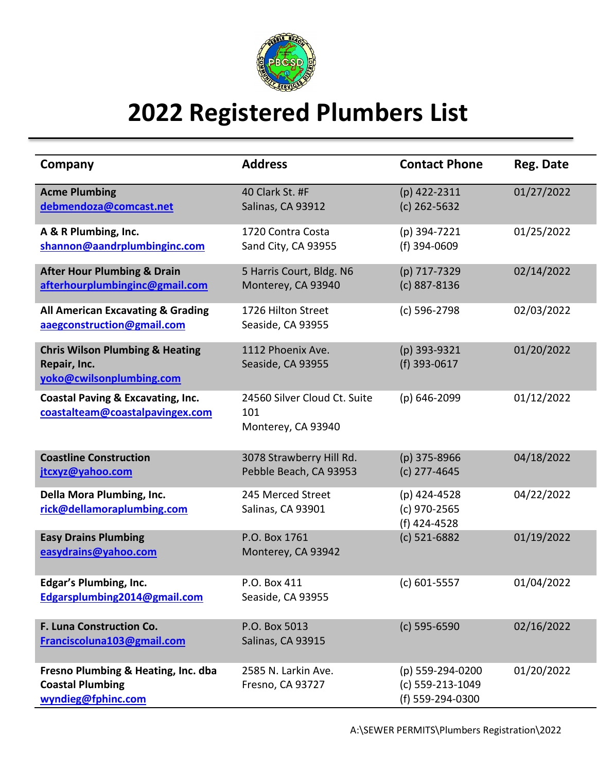

## **2022 Registered Plumbers List**

| Company                                                                                | <b>Address</b>                                            | <b>Contact Phone</b>                                     | Reg. Date  |
|----------------------------------------------------------------------------------------|-----------------------------------------------------------|----------------------------------------------------------|------------|
| <b>Acme Plumbing</b><br>debmendoza@comcast.net                                         | 40 Clark St. #F<br>Salinas, CA 93912                      | (p) 422-2311<br>$(c)$ 262-5632                           | 01/27/2022 |
| A & R Plumbing, Inc.<br>shannon@aandrplumbinginc.com                                   | 1720 Contra Costa<br>Sand City, CA 93955                  | (p) 394-7221<br>(f) 394-0609                             | 01/25/2022 |
| <b>After Hour Plumbing &amp; Drain</b><br>afterhourplumbinginc@gmail.com               | 5 Harris Court, Bldg. N6<br>Monterey, CA 93940            | (p) 717-7329<br>(c) 887-8136                             | 02/14/2022 |
| <b>All American Excavating &amp; Grading</b><br>aaegconstruction@gmail.com             | 1726 Hilton Street<br>Seaside, CA 93955                   | (c) 596-2798                                             | 02/03/2022 |
| <b>Chris Wilson Plumbing &amp; Heating</b><br>Repair, Inc.<br>yoko@cwilsonplumbing.com | 1112 Phoenix Ave.<br>Seaside, CA 93955                    | (p) 393-9321<br>(f) 393-0617                             | 01/20/2022 |
| <b>Coastal Paving &amp; Excavating, Inc.</b><br>coastalteam@coastalpavingex.com        | 24560 Silver Cloud Ct. Suite<br>101<br>Monterey, CA 93940 | (p) 646-2099                                             | 01/12/2022 |
| <b>Coastline Construction</b><br>jtcxyz@yahoo.com                                      | 3078 Strawberry Hill Rd.<br>Pebble Beach, CA 93953        | $(p)$ 375-8966<br>$(c)$ 277-4645                         | 04/18/2022 |
| Della Mora Plumbing, Inc.<br>rick@dellamoraplumbing.com                                | 245 Merced Street<br>Salinas, CA 93901                    | (p) 424-4528<br>(c) 970-2565<br>(f) 424-4528             | 04/22/2022 |
| <b>Easy Drains Plumbing</b><br>easydrains@yahoo.com                                    | P.O. Box 1761<br>Monterey, CA 93942                       | (c) 521-6882                                             | 01/19/2022 |
| <b>Edgar's Plumbing, Inc.</b><br>Edgarsplumbing2014@gmail.com                          | P.O. Box 411<br>Seaside, CA 93955                         | $(c) 601 - 5557$                                         | 01/04/2022 |
| F. Luna Construction Co.<br>Franciscoluna103@gmail.com                                 | P.O. Box 5013<br>Salinas, CA 93915                        | (c) 595-6590                                             | 02/16/2022 |
| Fresno Plumbing & Heating, Inc. dba<br><b>Coastal Plumbing</b><br>wyndieg@fphinc.com   | 2585 N. Larkin Ave.<br>Fresno, CA 93727                   | (p) 559-294-0200<br>(c) 559-213-1049<br>(f) 559-294-0300 | 01/20/2022 |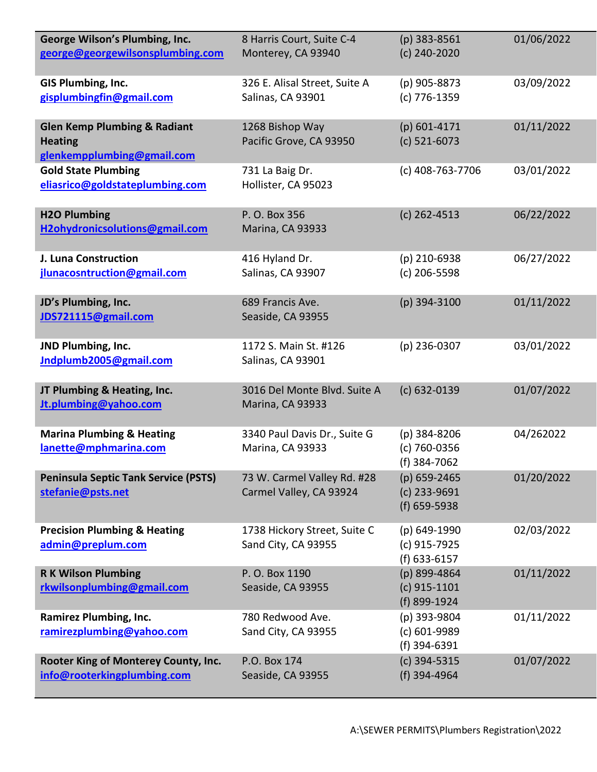| George Wilson's Plumbing, Inc.<br>george@georgewilsonsplumbing.com                      | 8 Harris Court, Suite C-4<br>Monterey, CA 93940        | $(p)$ 383-8561<br>(c) 240-2020                 | 01/06/2022 |
|-----------------------------------------------------------------------------------------|--------------------------------------------------------|------------------------------------------------|------------|
| GIS Plumbing, Inc.<br>gisplumbingfin@gmail.com                                          | 326 E. Alisal Street, Suite A<br>Salinas, CA 93901     | (p) 905-8873<br>(c) 776-1359                   | 03/09/2022 |
| <b>Glen Kemp Plumbing &amp; Radiant</b><br><b>Heating</b><br>glenkempplumbing@gmail.com | 1268 Bishop Way<br>Pacific Grove, CA 93950             | $(p)$ 601-4171<br>$(c)$ 521-6073               | 01/11/2022 |
| <b>Gold State Plumbing</b><br>eliasrico@goldstateplumbing.com                           | 731 La Baig Dr.<br>Hollister, CA 95023                 | (c) 408-763-7706                               | 03/01/2022 |
| <b>H2O Plumbing</b><br>H2ohydronicsolutions@gmail.com                                   | P. O. Box 356<br>Marina, CA 93933                      | $(c)$ 262-4513                                 | 06/22/2022 |
| J. Luna Construction<br>jlunacosntruction@gmail.com                                     | 416 Hyland Dr.<br>Salinas, CA 93907                    | (p) 210-6938<br>$(c)$ 206-5598                 | 06/27/2022 |
| JD's Plumbing, Inc.<br>JDS721115@gmail.com                                              | 689 Francis Ave.<br>Seaside, CA 93955                  | (p) 394-3100                                   | 01/11/2022 |
| JND Plumbing, Inc.<br>Indplumb2005@gmail.com                                            | 1172 S. Main St. #126<br>Salinas, CA 93901             | $(p)$ 236-0307                                 | 03/01/2022 |
| JT Plumbing & Heating, Inc.<br>Jt.plumbing@yahoo.com                                    | 3016 Del Monte Blvd. Suite A<br>Marina, CA 93933       | (c) 632-0139                                   | 01/07/2022 |
| <b>Marina Plumbing &amp; Heating</b><br>lanette@mphmarina.com                           | 3340 Paul Davis Dr., Suite G<br>Marina, CA 93933       | (p) 384-8206<br>(c) 760-0356<br>(f) 384-7062   | 04/262022  |
| <b>Peninsula Septic Tank Service (PSTS)</b><br>stefanie@psts.net                        | 73 W. Carmel Valley Rd. #28<br>Carmel Valley, CA 93924 | (p) 659-2465<br>(c) 233-9691<br>(f) 659-5938   | 01/20/2022 |
| <b>Precision Plumbing &amp; Heating</b><br>admin@preplum.com                            | 1738 Hickory Street, Suite C<br>Sand City, CA 93955    | (p) 649-1990<br>(c) 915-7925<br>(f) 633-6157   | 02/03/2022 |
| <b>RK Wilson Plumbing</b><br>rkwilsonplumbing@gmail.com                                 | P. O. Box 1190<br>Seaside, CA 93955                    | (p) 899-4864<br>$(c)$ 915-1101<br>(f) 899-1924 | 01/11/2022 |
| <b>Ramirez Plumbing, Inc.</b><br>ramirezplumbing@yahoo.com                              | 780 Redwood Ave.<br>Sand City, CA 93955                | (p) 393-9804<br>(c) 601-9989<br>(f) 394-6391   | 01/11/2022 |
| Rooter King of Monterey County, Inc.<br>info@rooterkingplumbing.com                     | P.O. Box 174<br>Seaside, CA 93955                      | (c) 394-5315<br>(f) 394-4964                   | 01/07/2022 |